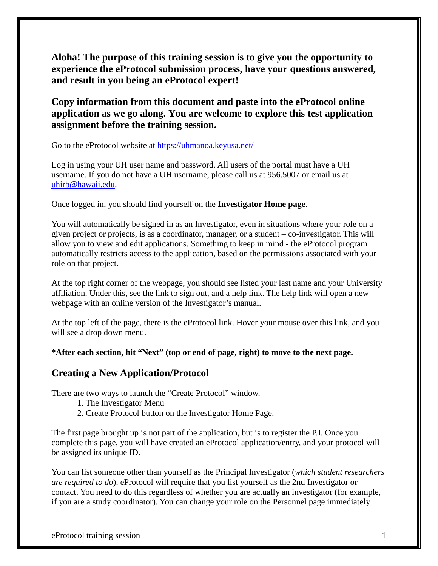**Aloha! The purpose of this training session is to give you the opportunity to experience the eProtocol submission process, have your questions answered, and result in you being an eProtocol expert!**

**Copy information from this document and paste into the eProtocol online application as we go along. You are welcome to explore this test application assignment before the training session.**

Go to the eProtocol website at<https://uhmanoa.keyusa.net/>

Log in using your UH user name and password. All users of the portal must have a UH username. If you do not have a UH username, please call us at 956.5007 or email us at [uhirb@hawaii.edu.](mailto:uhirb@hawaii.edu)

Once logged in, you should find yourself on the **Investigator Home page**.

You will automatically be signed in as an Investigator, even in situations where your role on a given project or projects, is as a coordinator, manager, or a student – co-investigator. This will allow you to view and edit applications. Something to keep in mind - the eProtocol program automatically restricts access to the application, based on the permissions associated with your role on that project.

At the top right corner of the webpage, you should see listed your last name and your University affiliation. Under this, see the link to sign out, and a help link. The help link will open a new webpage with an online version of the Investigator's manual.

At the top left of the page, there is the eProtocol link. Hover your mouse over this link, and you will see a drop down menu.

**\*After each section, hit "Next" (top or end of page, right) to move to the next page.**

### **Creating a New Application/Protocol**

There are two ways to launch the "Create Protocol" window.

- 1. The Investigator Menu
- 2. Create Protocol button on the Investigator Home Page.

The first page brought up is not part of the application, but is to register the P.I. Once you complete this page, you will have created an eProtocol application/entry, and your protocol will be assigned its unique ID.

You can list someone other than yourself as the Principal Investigator (*which student researchers are required to do*). eProtocol will require that you list yourself as the 2nd Investigator or contact. You need to do this regardless of whether you are actually an investigator (for example, if you are a study coordinator). You can change your role on the Personnel page immediately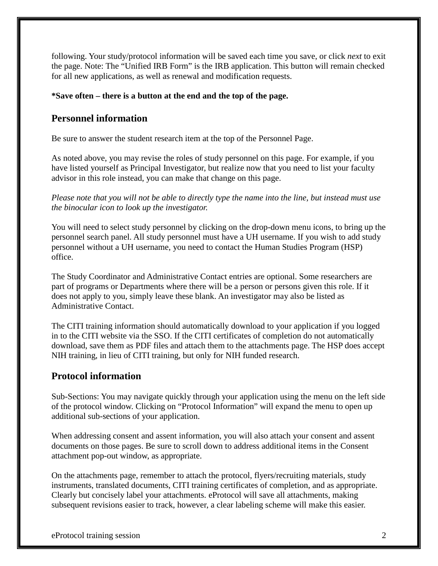following. Your study/protocol information will be saved each time you save, or click *next* to exit the page. Note: The "Unified IRB Form" is the IRB application. This button will remain checked for all new applications, as well as renewal and modification requests.

#### **\*Save often – there is a button at the end and the top of the page.**

#### **Personnel information**

Be sure to answer the student research item at the top of the Personnel Page.

As noted above, you may revise the roles of study personnel on this page. For example, if you have listed yourself as Principal Investigator, but realize now that you need to list your faculty advisor in this role instead, you can make that change on this page.

*Please note that you will not be able to directly type the name into the line, but instead must use the binocular icon to look up the investigator.*

You will need to select study personnel by clicking on the drop-down menu icons, to bring up the personnel search panel. All study personnel must have a UH username. If you wish to add study personnel without a UH username, you need to contact the Human Studies Program (HSP) office.

The Study Coordinator and Administrative Contact entries are optional. Some researchers are part of programs or Departments where there will be a person or persons given this role. If it does not apply to you, simply leave these blank. An investigator may also be listed as Administrative Contact.

The CITI training information should automatically download to your application if you logged in to the CITI website via the SSO. If the CITI certificates of completion do not automatically download, save them as PDF files and attach them to the attachments page. The HSP does accept NIH training, in lieu of CITI training, but only for NIH funded research.

#### **Protocol information**

Sub-Sections: You may navigate quickly through your application using the menu on the left side of the protocol window. Clicking on "Protocol Information" will expand the menu to open up additional sub-sections of your application.

When addressing consent and assent information, you will also attach your consent and assent documents on those pages. Be sure to scroll down to address additional items in the Consent attachment pop-out window, as appropriate.

On the attachments page, remember to attach the protocol, flyers/recruiting materials, study instruments, translated documents, CITI training certificates of completion, and as appropriate. Clearly but concisely label your attachments. eProtocol will save all attachments, making subsequent revisions easier to track, however, a clear labeling scheme will make this easier.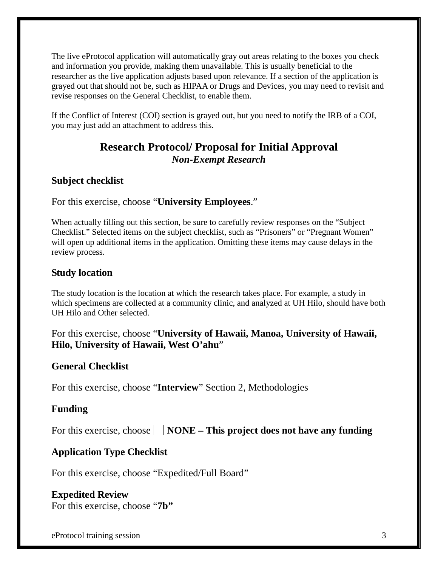The live eProtocol application will automatically gray out areas relating to the boxes you check and information you provide, making them unavailable. This is usually beneficial to the researcher as the live application adjusts based upon relevance. If a section of the application is grayed out that should not be, such as HIPAA or Drugs and Devices, you may need to revisit and revise responses on the General Checklist, to enable them.

If the Conflict of Interest (COI) section is grayed out, but you need to notify the IRB of a COI, you may just add an attachment to address this.

# **Research Protocol/ Proposal for Initial Approval** *Non-Exempt Research*

### **Subject checklist**

For this exercise, choose "**University Employees**."

When actually filling out this section, be sure to carefully review responses on the "Subject Checklist." Selected items on the subject checklist, such as "Prisoners" or "Pregnant Women" will open up additional items in the application. Omitting these items may cause delays in the review process.

# **Study location**

The study location is the location at which the research takes place. For example, a study in which specimens are collected at a community clinic, and analyzed at UH Hilo, should have both UH Hilo and Other selected.

For this exercise, choose "**University of Hawaii, Manoa, University of Hawaii, Hilo, University of Hawaii, West O'ahu**"

### **General Checklist**

For this exercise, choose "**Interview**" Section 2, Methodologies

### **Funding**

For this exercise, choose  $\Box$  **NONE** – **This project does not have any funding** 

# **Application Type Checklist**

For this exercise, choose "Expedited/Full Board"

# **Expedited Review**

For this exercise, choose "**7b"**

eProtocol training session 3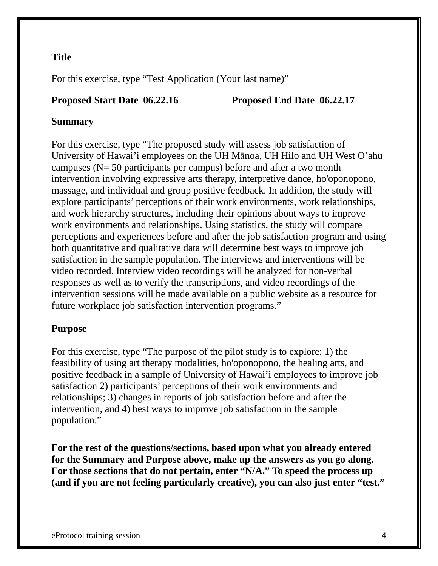# **Title**

For this exercise, type "Test Application (Your last name)"

### **Proposed Start Date 06.22.16 Proposed End Date 06.22.17**

# **Summary**

For this exercise, type "The proposed study will assess job satisfaction of University of Hawai'i employees on the UH Mānoa, UH Hilo and UH West O'ahu campuses (N= 50 participants per campus) before and after a two month intervention involving expressive arts therapy, interpretive dance, ho'oponopono, massage, and individual and group positive feedback. In addition, the study will explore participants' perceptions of their work environments, work relationships, and work hierarchy structures, including their opinions about ways to improve work environments and relationships. Using statistics, the study will compare perceptions and experiences before and after the job satisfaction program and using both quantitative and qualitative data will determine best ways to improve job satisfaction in the sample population. The interviews and interventions will be video recorded. Interview video recordings will be analyzed for non-verbal responses as well as to verify the transcriptions, and video recordings of the intervention sessions will be made available on a public website as a resource for future workplace job satisfaction intervention programs."

# **Purpose**

For this exercise, type "The purpose of the pilot study is to explore: 1) the feasibility of using art therapy modalities, ho'oponopono, the healing arts, and positive feedback in a sample of University of Hawai'i employees to improve job satisfaction 2) participants' perceptions of their work environments and relationships; 3) changes in reports of job satisfaction before and after the intervention, and 4) best ways to improve job satisfaction in the sample population."

**For the rest of the questions/sections, based upon what you already entered for the Summary and Purpose above, make up the answers as you go along. For those sections that do not pertain, enter "N/A." To speed the process up (and if you are not feeling particularly creative), you can also just enter "test."**